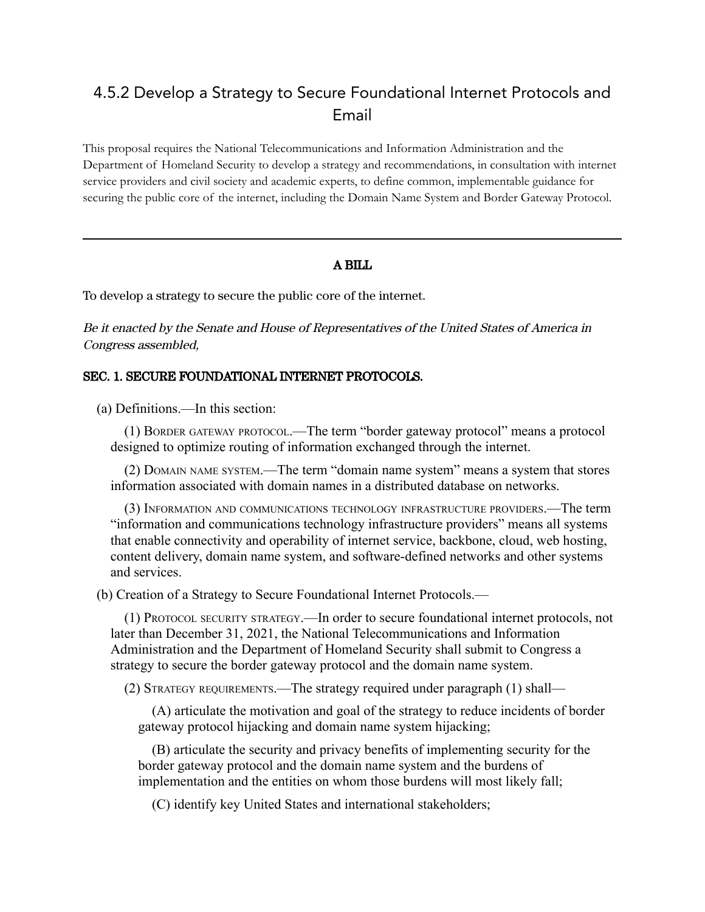## 4.5.2 Develop a Strategy to Secure Foundational Internet Protocols and Email

This proposal requires the National Telecommunications and Information Administration and the Department of Homeland Security to develop a strategy and recommendations, in consultation with internet service providers and civil society and academic experts, to define common, implementable guidance for securing the public core of the internet, including the Domain Name System and Border Gateway Protocol.

## A BILL

To develop a strategy to secure the public core of the internet.

Be it enacted by the Senate and House of Representatives of the United States of America in Congress assembled,

## SEC. 1. SECURE FOUNDATIONAL INTERNET PROTOCOLS.

(a) Definitions.—In this section:

(1) BORDER GATEWAY PROTOCOL.—The term "border gateway protocol" means a protocol designed to optimize routing of information exchanged through the internet.

(2) DOMAIN NAME SYSTEM.—The term "domain name system" means a system that stores information associated with domain names in a distributed database on networks.

(3) INFORMATION AND COMMUNICATIONS TECHNOLOGY INFRASTRUCTURE PROVIDERS.—The term "information and communications technology infrastructure providers" means all systems that enable connectivity and operability of internet service, backbone, cloud, web hosting, content delivery, domain name system, and software-defined networks and other systems and services.

(b) Creation of a Strategy to Secure Foundational Internet Protocols.—

(1) PROTOCOL SECURITY STRATEGY.—In order to secure foundational internet protocols, not later than December 31, 2021, the National Telecommunications and Information Administration and the Department of Homeland Security shall submit to Congress a strategy to secure the border gateway protocol and the domain name system.

(2) STRATEGY REQUIREMENTS.—The strategy required under paragraph (1) shall—

(A) articulate the motivation and goal of the strategy to reduce incidents of border gateway protocol hijacking and domain name system hijacking;

(B) articulate the security and privacy benefits of implementing security for the border gateway protocol and the domain name system and the burdens of implementation and the entities on whom those burdens will most likely fall;

(C) identify key United States and international stakeholders;